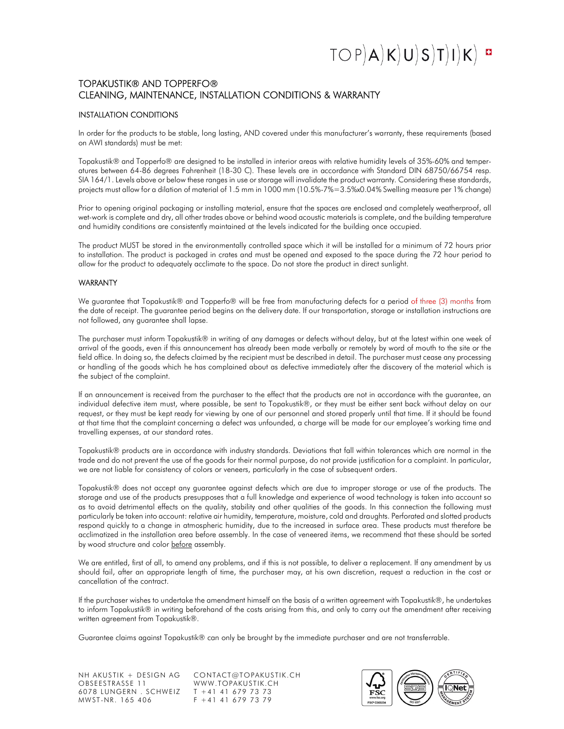## $TOP(A|K)U(S)T|I|K$ <sup>¤</sup>

### TOPAKUSTIK® AND TOPPERFO® CLEANING, MAINTENANCE, INSTALLATION CONDITIONS & WARRANTY

### INSTALLATION CONDITIONS

In order for the products to be stable, long lasting, AND covered under this manufacturer's warranty, these requirements (based on AWI standards) must be met:

Topakustik® and Topperfo® are designed to be installed in interior areas with relative humidity levels of 35%-60% and temperatures between 64-86 degrees Fahrenheit (18-30 C). These levels are in accordance with Standard DIN 68750/66754 resp. SIA 164/1. Levels above or below these ranges in use or storage will invalidate the product warranty. Considering these standards, projects must allow for a dilation of material of 1.5 mm in 1000 mm (10.5%-7%=3.5%x0.04% Swelling measure per 1% change)

Prior to opening original packaging or installing material, ensure that the spaces are enclosed and completely weatherproof, all wet-work is complete and dry, all other trades above or behind wood acoustic materials is complete, and the building temperature and humidity conditions are consistently maintained at the levels indicated for the building once occupied.

The product MUST be stored in the environmentally controlled space which it will be installed for a minimum of 72 hours prior to installation. The product is packaged in crates and must be opened and exposed to the space during the 72 hour period to allow for the product to adequately acclimate to the space. Do not store the product in direct sunlight.

#### WARRANTY

We guarantee that Topakustik® and Topperfo® will be free from manufacturing defects for a period of three (3) months from the date of receipt. The guarantee period begins on the delivery date. If our transportation, storage or installation instructions are not followed, any guarantee shall lapse.

The purchaser must inform Topakustik® in writing of any damages or defects without delay, but at the latest within one week of arrival of the goods, even if this announcement has already been made verbally or remotely by word of mouth to the site or the field office. In doing so, the defects claimed by the recipient must be described in detail. The purchaser must cease any processing or handling of the goods which he has complained about as defective immediately after the discovery of the material which is the subject of the complaint.

If an announcement is received from the purchaser to the effect that the products are not in accordance with the guarantee, an individual defective item must, where possible, be sent to Topakustik®, or they must be either sent back without delay on our request, or they must be kept ready for viewing by one of our personnel and stored properly until that time. If it should be found at that time that the complaint concerning a defect was unfounded, a charge will be made for our employee's working time and travelling expenses, at our standard rates.

Topakustik® products are in accordance with industry standards. Deviations that fall within tolerances which are normal in the trade and do not prevent the use of the goods for their normal purpose, do not provide justification for a complaint. In particular, we are not liable for consistency of colors or veneers, particularly in the case of subsequent orders.

Topakustik® does not accept any guarantee against defects which are due to improper storage or use of the products. The storage and use of the products presupposes that a full knowledge and experience of wood technology is taken into account so as to avoid detrimental effects on the quality, stability and other qualities of the goods. In this connection the following must particularly be taken into account: relative air humidity, temperature, moisture, cold and draughts. Perforated and slotted products respond quickly to a change in atmospheric humidity, due to the increased in surface area. These products must therefore be acclimatized in the installation area before assembly. In the case of veneered items, we recommend that these should be sorted by wood structure and color before assembly.

We are entitled, first of all, to amend any problems, and if this is not possible, to deliver a replacement. If any amendment by us should fail, after an appropriate length of time, the purchaser may, at his own discretion, request a reduction in the cost or cancellation of the contract.

If the purchaser wishes to undertake the amendment himself on the basis of a written agreement with Topakustik®, he undertakes to inform Topakustik® in writing beforehand of the costs arising from this, and only to carry out the amendment after receiving written agreement from Topakustik®.

Guarantee claims against Topakustik® can only be brought by the immediate purchaser and are not transferrable.

NH AKUSTIK + DESIGN AG CONTACT@TOPAKUSTIK.CH<br>OBSEESTRASSE 11 WWW.TOPAKUSTIK.CH OBSEESTRASSE 11 WWW.TOPAKUSTIK.CI<br>6078 LUNGERN . SCHWEIZ T +41 41 679 73 73 6078 LUNGERN . SCHWEIZ<br>MWST-NR. 165 406

 $F + 41 41 679 73 79$